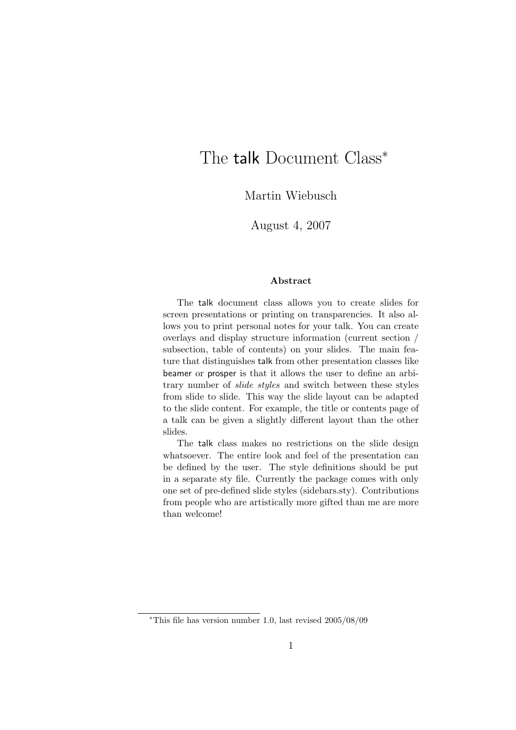# The talk Document Class<sup>\*</sup>

Martin Wiebusch

August 4, 2007

#### Abstract

The talk document class allows you to create slides for screen presentations or printing on transparencies. It also allows you to print personal notes for your talk. You can create overlays and display structure information (current section / subsection, table of contents) on your slides. The main feature that distinguishes talk from other presentation classes like beamer or prosper is that it allows the user to define an arbitrary number of slide styles and switch between these styles from slide to slide. This way the slide layout can be adapted to the slide content. For example, the title or contents page of a talk can be given a slightly different layout than the other slides.

The talk class makes no restrictions on the slide design whatsoever. The entire look and feel of the presentation can be defined by the user. The style definitions should be put in a separate sty file. Currently the package comes with only one set of pre-defined slide styles (sidebars.sty). Contributions from people who are artistically more gifted than me are more than welcome!

<sup>∗</sup>This file has version number 1.0, last revised 2005/08/09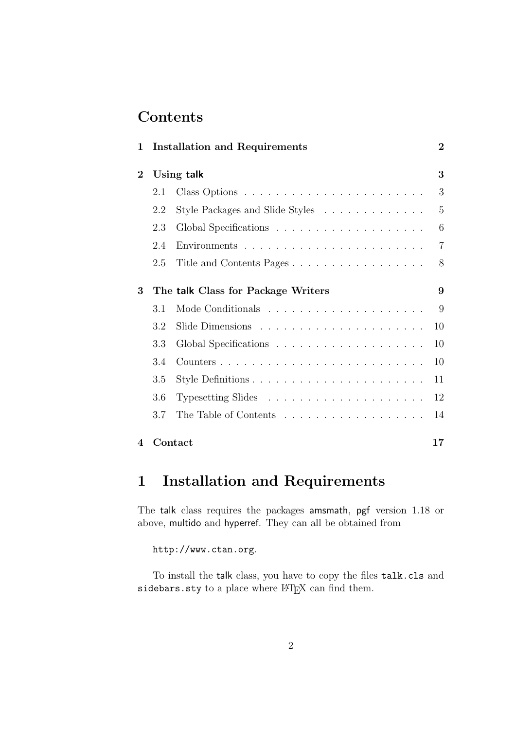# **Contents**

| 1        |                                    | <b>Installation and Requirements</b> | $\overline{2}$ |
|----------|------------------------------------|--------------------------------------|----------------|
| $\bf{2}$ | 3<br>Using talk                    |                                      |                |
|          | 2.1                                |                                      | 3              |
|          | 2.2                                | Style Packages and Slide Styles      | 5              |
|          | 2.3                                |                                      | 6              |
|          | 2.4                                |                                      | $\overline{7}$ |
|          | 2.5                                | Title and Contents Pages             | 8              |
| 3        | The talk Class for Package Writers |                                      |                |
|          | 3.1                                |                                      | 9              |
|          | 3.2                                |                                      | 10             |
|          | 3.3                                |                                      | 10             |
|          | 3.4                                |                                      | 10             |
|          | $3.5\,$                            |                                      | 11             |
|          | 3.6                                |                                      | 12             |
|          | 3.7                                |                                      | 14             |
| 4        | Contact<br>17                      |                                      |                |

# 1 Installation and Requirements

The talk class requires the packages amsmath, pgf version 1.18 or above, multido and hyperref. They can all be obtained from

http://www.ctan.org.

To install the talk class, you have to copy the files talk.cls and sidebars.sty to a place where LHEX can find them.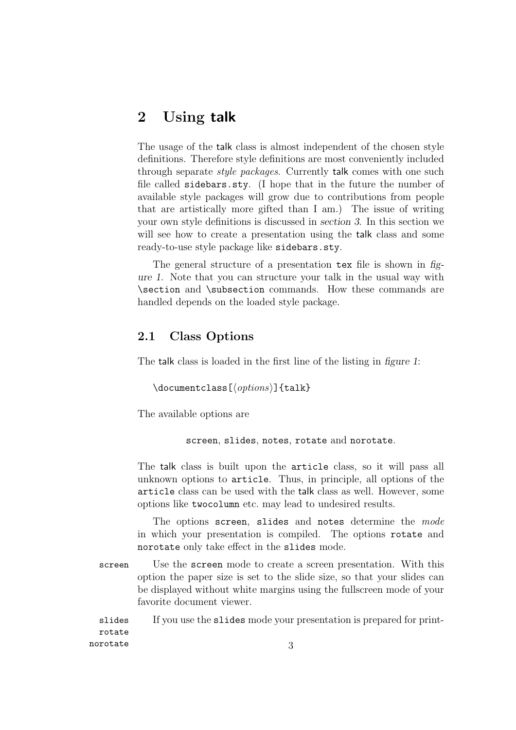## 2 Using talk

The usage of the talk class is almost independent of the chosen style definitions. Therefore style definitions are most conveniently included through separate *style packages*. Currently talk comes with one such file called sidebars.sty. (I hope that in the future the number of available style packages will grow due to contributions from people that are artistically more gifted than I am.) The issue of writing your own style definitions is discussed in section 3. In this section we will see how to create a presentation using the talk class and some ready-to-use style package like sidebars.sty.

The general structure of a presentation tex file is shown in figure 1. Note that you can structure your talk in the usual way with \section and \subsection commands. How these commands are handled depends on the loaded style package.

## 2.1 Class Options

The talk class is loaded in the first line of the listing in figure 1:

```
\{documentclass[\langle options\rangle]{talk}\}
```
The available options are

screen, slides, notes, rotate and norotate.

The talk class is built upon the article class, so it will pass all unknown options to article. Thus, in principle, all options of the article class can be used with the talk class as well. However, some options like twocolumn etc. may lead to undesired results.

The options screen, slides and notes determine the mode in which your presentation is compiled. The options rotate and norotate only take effect in the slides mode.

screen Use the screen mode to create a screen presentation. With this option the paper size is set to the slide size, so that your slides can be displayed without white margins using the fullscreen mode of your favorite document viewer.

slides If you use the slides mode your presentation is prepared for printrotate norotate 3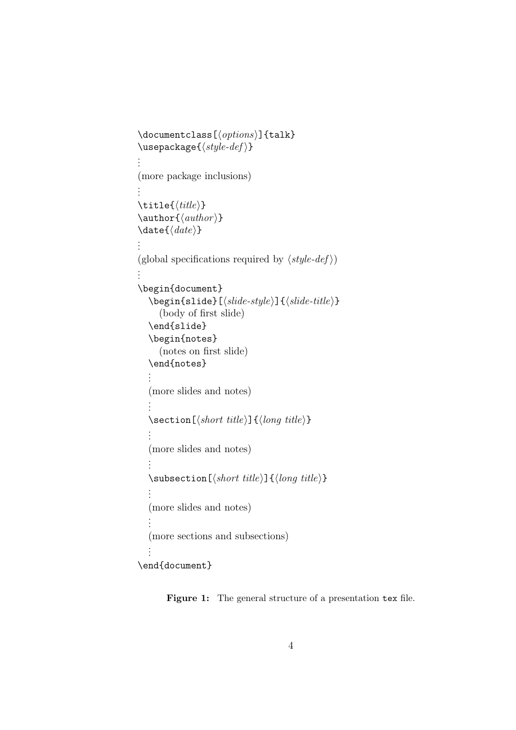```
\{documentclass[\langle options\rangle]{talk}\}\text{usepackage}\{\langle style-def \rangle\}.
.
.
(more package inclusions)
.
.
.
\tilde{\tilde{t}}\author\{\langle \text{author} \rangle\}\langle date \rangle.
.
.
(global specifications required by \langle style-def \rangle \rangle)
.
.
.
\begin{document}
   \begin{align} \begin{bmatrix} slide -style \end{bmatrix} \{slide -style \end{bmatrix} \end{align}(body of first slide)
   \end{slide}
   \begin{notes}
      (notes on first slide)
   \end{notes}
   .
.
.
   (more slides and notes)
   .
   .
   .
   \setminussection[\langle short \ title \rangle] {\langle long \ title \rangle}.
   .
   .
   (more slides and notes)
   .
   .
   .
   \simeq \subsection [\short\ title] {\lozenge\ title}}
   .
   .
   .
   (more slides and notes)
   .
   .
   .
   (more sections and subsections)
   .
   .
   .
\end{document}
```
Figure 1: The general structure of a presentation tex file.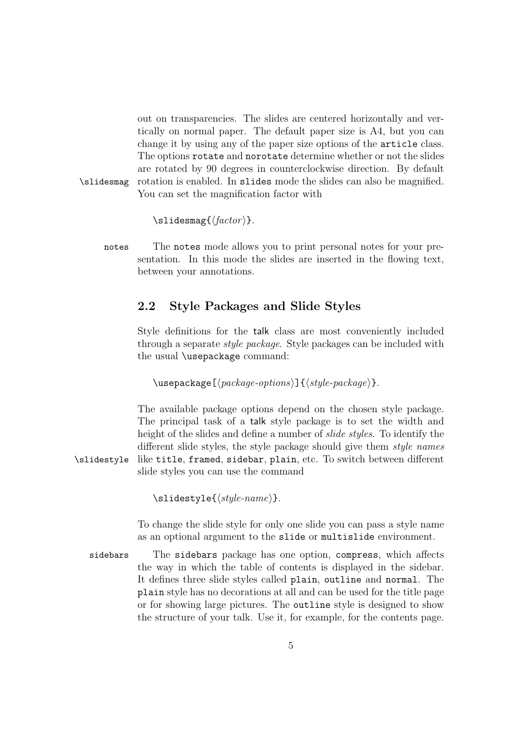out on transparencies. The slides are centered horizontally and vertically on normal paper. The default paper size is A4, but you can change it by using any of the paper size options of the article class. The options rotate and norotate determine whether or not the slides are rotated by 90 degrees in counterclockwise direction. By default \slidesmag rotation is enabled. In slides mode the slides can also be magnified. You can set the magnification factor with

 $\lambda$ slidesmag{ $\langle factor \rangle$ }.

notes The notes mode allows you to print personal notes for your presentation. In this mode the slides are inserted in the flowing text, between your annotations.

### 2.2 Style Packages and Slide Styles

Style definitions for the talk class are most conveniently included through a separate *style package*. Style packages can be included with the usual \usepackage command:

 $\{\text{usage}[\text{package-options}\] {\langle style-package\rangle\}.$ 

The available package options depend on the chosen style package. The principal task of a talk style package is to set the width and height of the slides and define a number of *slide styles*. To identify the different slide styles, the style package should give them *style names* \slidestyle like title, framed, sidebar, plain, etc. To switch between different slide styles you can use the command

\slidestyle{hstyle-namei}.

To change the slide style for only one slide you can pass a style name as an optional argument to the slide or multislide environment.

sidebars The sidebars package has one option, compress, which affects the way in which the table of contents is displayed in the sidebar. It defines three slide styles called plain, outline and normal. The plain style has no decorations at all and can be used for the title page or for showing large pictures. The outline style is designed to show the structure of your talk. Use it, for example, for the contents page.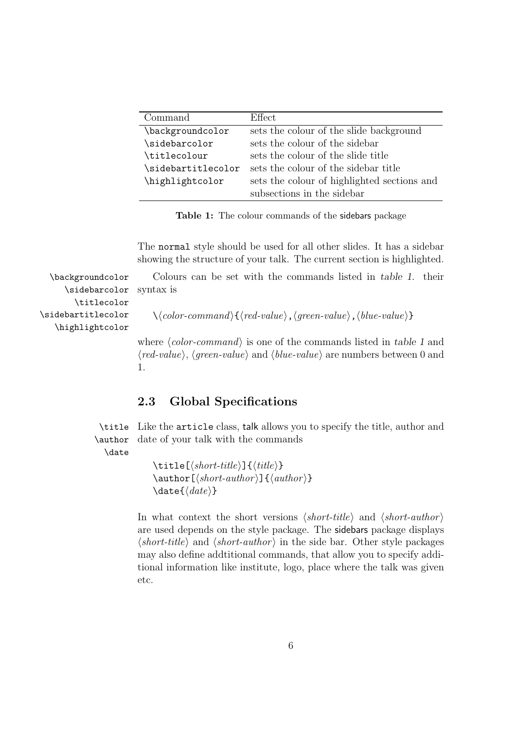| Command            | Effect.                                     |
|--------------------|---------------------------------------------|
| \backgroundcolor   | sets the colour of the slide background     |
| \sidebarcolor      | sets the colour of the sidebar              |
| \titlecolour       | sets the colour of the slide title          |
| \sidebartitlecolor | sets the colour of the sidebar title        |
| \highlightcolor    | sets the colour of highlighted sections and |
|                    | subsections in the sidebar                  |

Table 1: The colour commands of the sidebars package

The normal style should be used for all other slides. It has a sidebar showing the structure of your talk. The current section is highlighted.

\backgroundcolor Colours can be set with the commands listed in table 1. their syntax is

 $\setminus \langle color\text{-}command \rangle\{\langle red\text{-}value\rangle, \langle green\text{-}value\rangle, \langle blue\text{-}value\rangle\}$ 

where  $\langle color\text{-}command\rangle$  is one of the commands listed in table 1 and  $\langle red-value\rangle$ ,  $\langle green-value\rangle$  and  $\langle blue-value\rangle$  are numbers between 0 and 1.

## 2.3 Global Specifications

\author

\title Like the article class, talk allows you to specify the title, author and date of your talk with the commands

\date

 $\tilde{\lbrace}$  (short-title)] $\lbrace \langle \tilde{t} \rangle \rbrace$  $\{\alpha\nexists r[\langle short\text{-}author \rangle] {\langle \alpha\nexists r \rangle\}$  $\langle date \rangle$ 

In what context the short versions  $\langle short\text{-}title \rangle$  and  $\langle short\text{-}author \rangle$ are used depends on the style package. The sidebars package displays  $\langle short\text{-}title \rangle$  and  $\langle short\text{-}author \rangle$  in the side bar. Other style packages may also define addtitional commands, that allow you to specify additional information like institute, logo, place where the talk was given etc.

\sidebarcolor \titlecolor \sidebartitlecolor \highlightcolor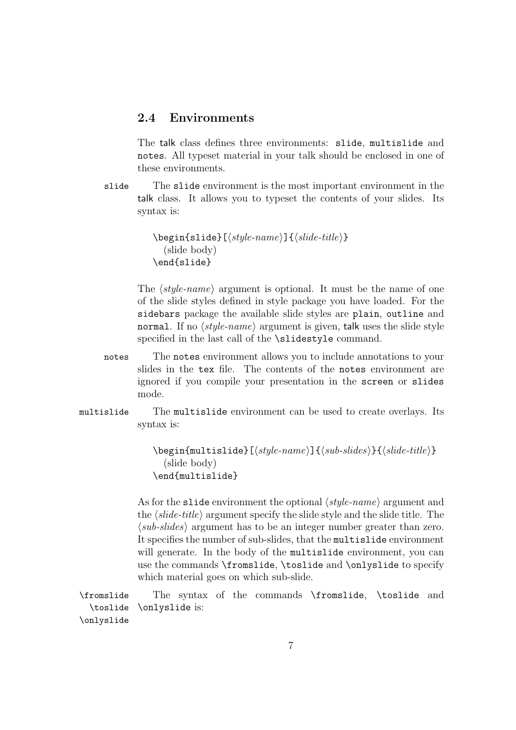### 2.4 Environments

The talk class defines three environments: slide, multislide and notes. All typeset material in your talk should be enclosed in one of these environments.

slide The slide environment is the most important environment in the talk class. It allows you to typeset the contents of your slides. Its syntax is:

```
\begin{align*} \begin{bmatrix} \text{subject} \end{bmatrix} & \text{subject} \end{align*}(slide body)
\end{slide}
```
The  $\langle style-name\rangle$  argument is optional. It must be the name of one of the slide styles defined in style package you have loaded. For the sidebars package the available slide styles are plain, outline and normal. If no  $\langle style\text{i}name \rangle$  argument is given, talk uses the slide style specified in the last call of the **\slidestyle** command.

- notes The notes environment allows you to include annotations to your slides in the tex file. The contents of the notes environment are ignored if you compile your presentation in the screen or slides mode.
- multislide The multislide environment can be used to create overlays. Its syntax is:

 $\begin{equation*}$  \begin{multislide}[ $\langle style-name\rangle$ ]{ $\langle sub-slides\rangle$ }{ $\langle slide-title\rangle$ } (slide body) \end{multislide}

As for the slide environment the optional  $\langle style\text{i}-name\rangle$  argument and the  $\langle slide\text{-}title\rangle$  argument specify the slide style and the slide title. The  $\langle sub-slides \rangle$  argument has to be an integer number greater than zero. It specifies the number of sub-slides, that the multislide environment will generate. In the body of the multislide environment, you can use the commands \fromslide, \toslide and \onlyslide to specify which material goes on which sub-slide.

\fromslide The syntax of the commands \fromslide, \toslide and \toslide \onlyslide \onlyslide is: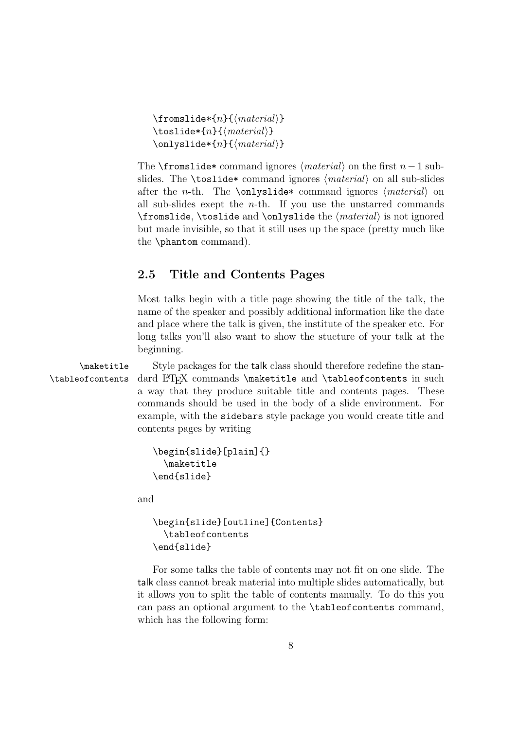```
\frac{1}{\text{mod}}\text{tosulate*}\{n\}{\{material\}}
\onlystide*{n}{\{material\}}
```
The \fromslide\* command ignores  $\langle material \rangle$  on the first n−1 subslides. The **\toslide\*** command ignores  $\langle material \rangle$  on all sub-slides after the *n*-th. The **\onlyslide\*** command ignores  $\langle material \rangle$  on all sub-slides exept the *n*-th. If you use the unstarred commands \fromslide, \toslide and \onlyslide the  $\langle \text{material} \rangle$  is not ignored but made invisible, so that it still uses up the space (pretty much like the \phantom command).

### 2.5 Title and Contents Pages

Most talks begin with a title page showing the title of the talk, the name of the speaker and possibly additional information like the date and place where the talk is given, the institute of the speaker etc. For long talks you'll also want to show the stucture of your talk at the beginning.

\maketitle Style packages for the talk class should therefore redefine the stan- \tableofcontents dard LATEX commands \maketitle and \tableofcontents in such a way that they produce suitable title and contents pages. These commands should be used in the body of a slide environment. For example, with the sidebars style package you would create title and contents pages by writing

```
\begin{slide}[plain]{}
  \maketitle
\end{slide}
```
and

```
\begin{slide}[outline]{Contents}
  \tableofcontents
\end{slide}
```
For some talks the table of contents may not fit on one slide. The talk class cannot break material into multiple slides automatically, but it allows you to split the table of contents manually. To do this you can pass an optional argument to the \tableofcontents command, which has the following form: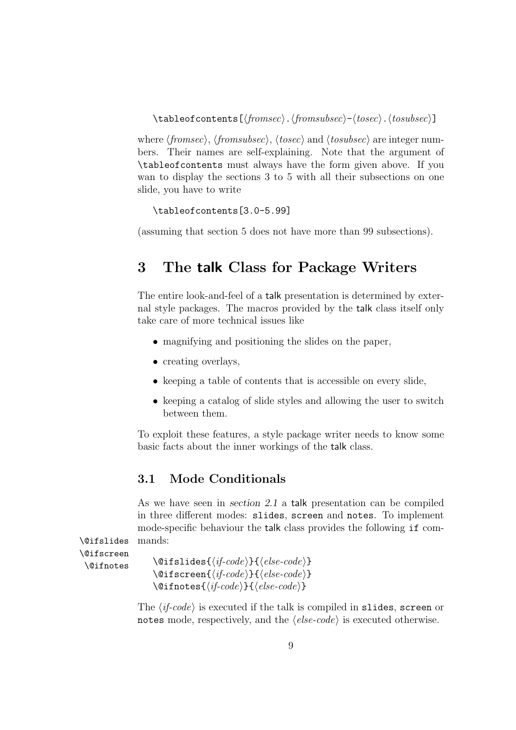$\{\t{tableof contents}[\langle fromsec\rangle.\langle fromsubset\rangle-\langle tosec\rangle.\langle tosubsec\rangle\}]$ 

where  $\langle \text{fromsec} \rangle$ ,  $\langle \text{fromsubsec} \rangle$ ,  $\langle \text{tosec} \rangle$  and  $\langle \text{tosubsec} \rangle$  are integer numbers. Their names are self-explaining. Note that the argument of \tableofcontents must always have the form given above. If you wan to display the sections 3 to 5 with all their subsections on one slide, you have to write

```
\tableofcontents[3.0-5.99]
```
(assuming that section 5 does not have more than 99 subsections).

# 3 The talk Class for Package Writers

The entire look-and-feel of a talk presentation is determined by external style packages. The macros provided by the talk class itself only take care of more technical issues like

- magnifying and positioning the slides on the paper,
- creating overlays,
- keeping a table of contents that is accessible on every slide,
- keeping a catalog of slide styles and allowing the user to switch between them.

To exploit these features, a style package writer needs to know some basic facts about the inner workings of the talk class.

## 3.1 Mode Conditionals

As we have seen in section 2.1 a talk presentation can be compiled in three different modes: slides, screen and notes. To implement mode-specific behaviour the talk class provides the following if com- \@ifslides mands:

```
\@ifscreen
```

```
\setminus@ifslides{\setminusfifotes \setminus @ifslides{\setminusif\setminuscode}}
                       \langle@ifscreen{\langleif-code}}{\langleelse-code}}
                       \langle@ifnotes{\langleif-code}}{\langleelse-code}}
```
The  $\langle i\textit{f-code}\rangle$  is executed if the talk is compiled in slides, screen or notes mode, respectively, and the  $\langle else-code\rangle$  is executed otherwise.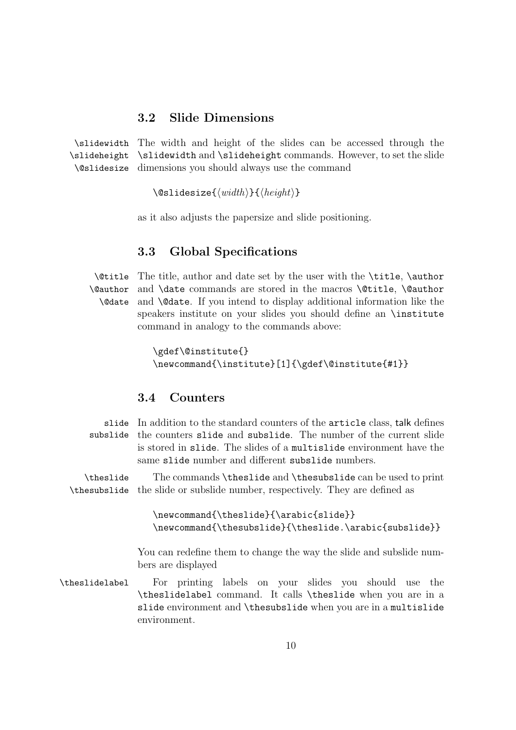### 3.2 Slide Dimensions

\slidewidth The width and height of the slides can be accessed through the \slideheight \slidewidth and \slideheight commands. However, to set the slide \@slidesize dimensions you should always use the command

 $\delta$ \@slidesize{ $\langle width \rangle$ }{ $\langle height \rangle$ }

as it also adjusts the papersize and slide positioning.

### 3.3 Global Specifications

\@title The title, author and date set by the user with the \title, \author \@author \@date and \date commands are stored in the macros \@title, \@author and **\@date**. If you intend to display additional information like the speakers institute on your slides you should define an \institute command in analogy to the commands above:

```
\gdef\@institute{}
\newcommand{\institute}[1]{\gdef\@institute{#1}}
```
### 3.4 Counters

| slide          | In addition to the standard counters of the article class, talk defines<br>subslide the counters slide and subslide. The number of the current slide<br>is stored in slide. The slides of a multislide environment have the<br>same slide number and different subslide numbers. |
|----------------|----------------------------------------------------------------------------------------------------------------------------------------------------------------------------------------------------------------------------------------------------------------------------------|
| \theslide      | The commands \theslide and \thesubslide can be used to print<br><b>\thesubslide</b> the slide or subslide number, respectively. They are defined as                                                                                                                              |
|                | \newcommand{\theslide}{\arabic{slide}}<br>\newcommand{\thesubslide}{\theslide.\arabic{subslide}}                                                                                                                                                                                 |
|                | You can redefine them to change the way the slide and subslide num-<br>bers are displayed                                                                                                                                                                                        |
| \theslidelabel | For printing labels on your slides you should use the<br>\theslidelabel command. It calls \theslide when you are in a<br>slide environment and \thesubslide when you are in a multislide<br>environment.                                                                         |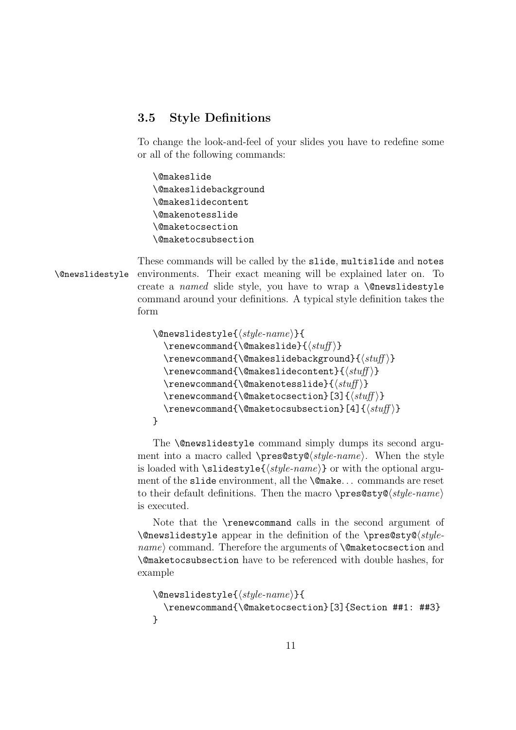## 3.5 Style Definitions

To change the look-and-feel of your slides you have to redefine some or all of the following commands:

\@makeslide \@makeslidebackground \@makeslidecontent \@makenotesslide \@maketocsection \@maketocsubsection

These commands will be called by the slide, multislide and notes \@newslidestyle environments. Their exact meaning will be explained later on. To create a named slide style, you have to wrap a **\@newslidestyle** command around your definitions. A typical style definition takes the form

```
\text{Onewslidestyle}\{style\; (style-name)\}\text{Cemewcommand}\{\@makeslide}\{\#t\}\renewcommand{\@makeslidebackground}{\{stuff\}}
  \text{Cemewcommand}(\@makeslidecontent}{\#)\text{renewcommand}\{\@magenta\}\text{Cemewcommand}\{\@maktocsection}\ [3]\{\st{stuff}\}\text{Cemewcommand}\{\@model\}
```
The **\@newslidestyle** command simply dumps its second argument into a macro called  $\prescript{\text{style-name}}{\text{style}}$ . When the style is loaded with \slidestyle{hstyle-namei} or with the optional argument of the slide environment, all the \@make. . . commands are reset to their default definitions. Then the macro \pres@sty@ $\langle style-name \rangle$ is executed.

Note that the \renewcommand calls in the second argument of  $\langle \delta \rangle$  \@newslidestyle appear in the definition of the \pres@sty@\style $name$  command. Therefore the arguments of  $\Diamond$  maketocsection and \@maketocsubsection have to be referenced with double hashes, for example

```
\text{Onewslidestyle}\{style\{style-name\}}{
  \renewcommand{\@maketocsection}[3]{Section ##1: ##3}
}
```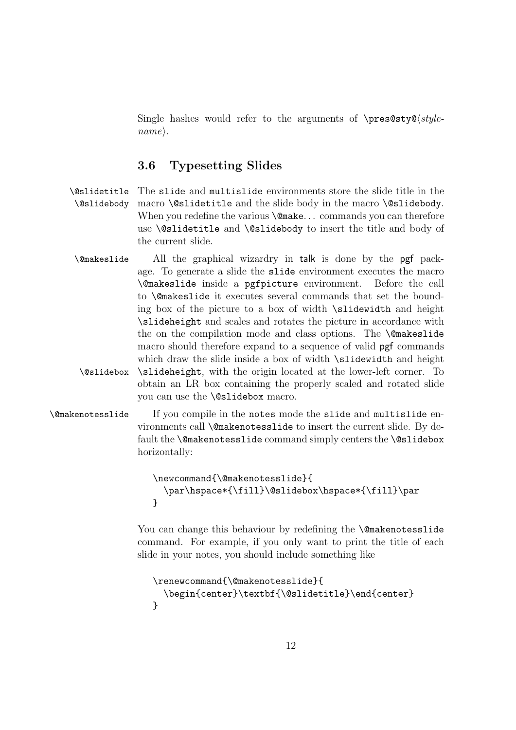Single hashes would refer to the arguments of  $\prescript{\text{pres@sty@}}style\text{style-}$  $name\rangle$ .

### 3.6 Typesetting Slides

- \@slidetitle The slide and multislide environments store the slide title in the \@slidebody macro \@slidetitle and the slide body in the macro \@slidebody. When you redefine the various **\@make...** commands you can therefore use \@slidetitle and \@slidebody to insert the title and body of the current slide.
- \@makeslide All the graphical wizardry in talk is done by the pgf package. To generate a slide the slide environment executes the macro \@makeslide inside a pgfpicture environment. Before the call to \@makeslide it executes several commands that set the bounding box of the picture to a box of width \slidewidth and height \slideheight and scales and rotates the picture in accordance with the on the compilation mode and class options. The **\@makeslide** macro should therefore expand to a sequence of valid pgf commands which draw the slide inside a box of width **\slidewidth** and height \@slidebox \slideheight, with the origin located at the lower-left corner. To obtain an LR box containing the properly scaled and rotated slide you can use the \@slidebox macro.
- \@makenotesslide If you compile in the notes mode the slide and multislide environments call \@makenotesslide to insert the current slide. By default the **\@makenotesslide** command simply centers the **\@slidebox** horizontally:

```
\newcommand{\@makenotesslide}{
  \par\hspace*{\fill}\@slidebox\hspace*{\fill}\par
}
```
You can change this behaviour by redefining the **\@makenotesslide** command. For example, if you only want to print the title of each slide in your notes, you should include something like

```
\renewcommand{\@makenotesslide}{
  \begin{center}\textbf{\@slidetitle}\end{center}
}
```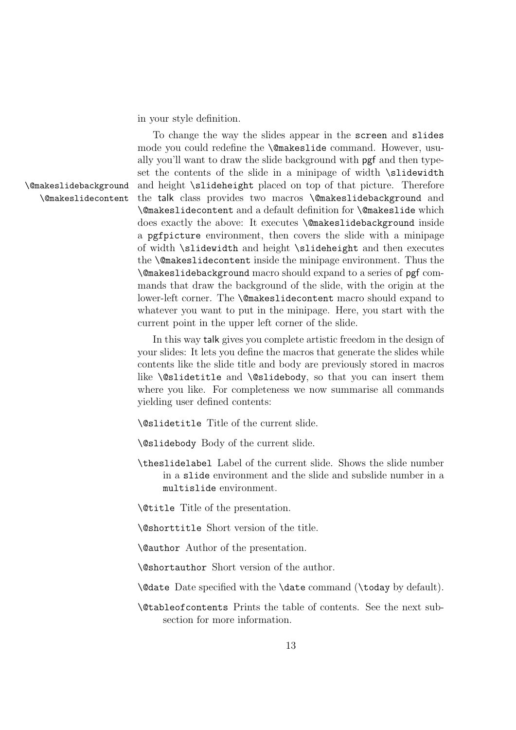in your style definition.

To change the way the slides appear in the screen and slides mode you could redefine the \@makeslide command. However, usually you'll want to draw the slide background with pgf and then typeset the contents of the slide in a minipage of width \slidewidth \@makeslidebackground and height \slideheight placed on top of that picture. Therefore \@makeslidecontent the talk class provides two macros \@makeslidebackground and \@makeslidecontent and a default definition for \@makeslide which does exactly the above: It executes \@makeslidebackground inside a pgfpicture environment, then covers the slide with a minipage of width \slidewidth and height \slideheight and then executes the \@makeslidecontent inside the minipage environment. Thus the \@makeslidebackground macro should expand to a series of pgf commands that draw the background of the slide, with the origin at the lower-left corner. The **\@makeslidecontent** macro should expand to whatever you want to put in the minipage. Here, you start with the current point in the upper left corner of the slide.

> In this way talk gives you complete artistic freedom in the design of your slides: It lets you define the macros that generate the slides while contents like the slide title and body are previously stored in macros like **\@slidetitle** and **\@slidebody**, so that you can insert them where you like. For completeness we now summarise all commands yielding user defined contents:

\@slidetitle Title of the current slide.

\@slidebody Body of the current slide.

\theslidelabel Label of the current slide. Shows the slide number in a slide environment and the slide and subslide number in a multislide environment.

\@title Title of the presentation.

\@shorttitle Short version of the title.

\@author Author of the presentation.

\@shortauthor Short version of the author.

\@date Date specified with the \date command (\today by default).

\@tableofcontents Prints the table of contents. See the next subsection for more information.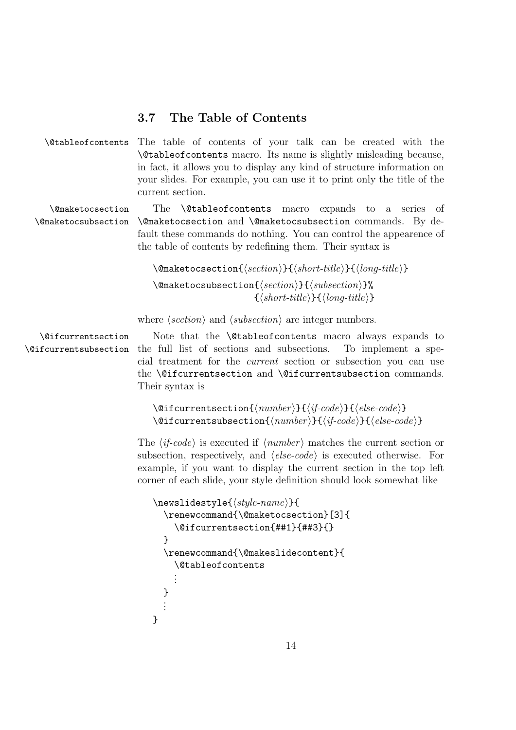### 3.7 The Table of Contents

\@tableofcontents The table of contents of your talk can be created with the \@tableofcontents macro. Its name is slightly misleading because, in fact, it allows you to display any kind of structure information on your slides. For example, you can use it to print only the title of the current section.

\@maketocsection The \@tableofcontents macro expands to a series of \@maketocsubsection \@maketocsection and \@maketocsubsection commands. By default these commands do nothing. You can control the appearence of the table of contents by redefining them. Their syntax is

> $\{\mathsf{R}(section)\}\{\langle short\text{-}title\rangle\}\{\langle long\text{-}title\rangle\}$  $\{\mathsf{Qm}\}\{\langle\mathsf{section}\rangle\}\$  $\{\langle short\text{-}title \rangle\}\{\langle long\text{-}title \rangle\}$

where  $\langle section \rangle$  and  $\langle subsection \rangle$  are integer numbers.

\@ifcurrentsection Note that the \@tableofcontents macro always expands to \@ifcurrentsubsection the full list of sections and subsections. To implement a special treatment for the current section or subsection you can use the \@ifcurrentsection and \@ifcurrentsubsection commands. Their syntax is

```
\langle@ifcurrentsection{\langle number \rangle}{\langleif-code}}{\langle else-code \rangle}
\langle@ifcurrentsubsection{\langle number \rangle}{\langle if-code \rangle}{\langle else-code \rangle}
```
The  $\langle i\textit{f-code}\rangle$  is executed if  $\langle number\rangle$  matches the current section or subsection, respectively, and  $\langle else-code\rangle$  is executed otherwise. For example, if you want to display the current section in the top left corner of each slide, your style definition should look somewhat like

```
\newsubject{style{rightename}}\renewcommand{\@maketocsection}[3]{
    \@ifcurrentsection{##1}{##3}{}
  }
  \renewcommand{\@makeslidecontent}{
    \@tableofcontents
    .
    .
    .
  }
  .
.
.
}
```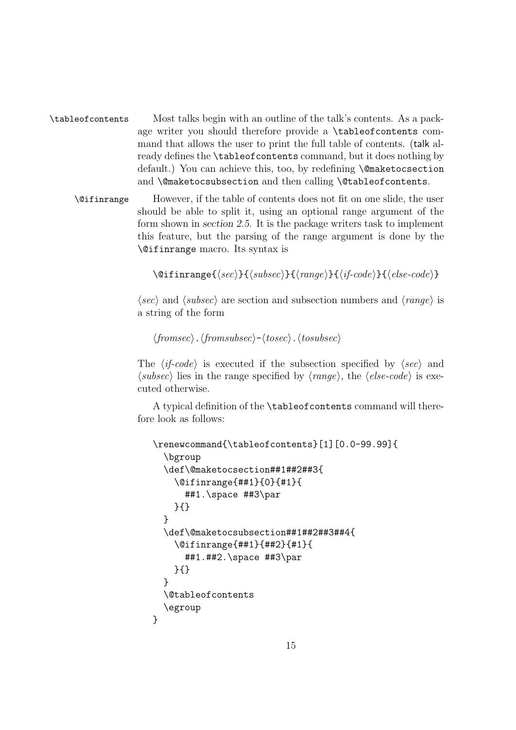\tableofcontents Most talks begin with an outline of the talk's contents. As a package writer you should therefore provide a \tableofcontents command that allows the user to print the full table of contents. (talk already defines the \tableofcontents command, but it does nothing by default.) You can achieve this, too, by redefining \@maketocsection and **\@maketocsubsection** and then calling **\@tableofcontents**.

\@ifinrange However, if the table of contents does not fit on one slide, the user should be able to split it, using an optional range argument of the form shown in section 2.5. It is the package writers task to implement this feature, but the parsing of the range argument is done by the \@ifinrange macro. Its syntax is

```
\langle\text{of}({\text{sec}})\rangle{\langle{\text{subsec}}\rangle}{\langle{\text{range}}\rangle}{\langle{\text{if-code}}\rangle}{\langle{\text{else-code}}\rangle}
```
 $\langle \textit{sec} \rangle$  and  $\langle \textit{subsec} \rangle$  are section and subsection numbers and  $\langle \textit{range} \rangle$  is a string of the form

```
\langle \text{fromsec} \rangle. \langle \text{fromsubsec} \rangle - \langle \text{tosec} \rangle. \langle \text{tosubsec} \rangle
```
The  $\langle i\textit{f-code}\rangle$  is executed if the subsection specified by  $\langle \textit{sec}\rangle$  and  $\langle subset \rangle$  lies in the range specified by  $\langle range \rangle$ , the  $\langle else-code \rangle$  is executed otherwise.

A typical definition of the \tableofcontents command will therefore look as follows:

```
\renewcommand{\tableofcontents}[1][0.0-99.99]{
  \bgroup
  \def\@maketocsection##1##2##3{
    \@ifinrange{##1}{0}{#1}{
      ##1.\space ##3\par
    }{}
  }
  \def\@maketocsubsection##1##2##3##4{
    \@ifinrange{##1}{##2}{#1}{
      ##1.##2.\space ##3\par
    }{}
  }
  \@tableofcontents
  \egroup
}
```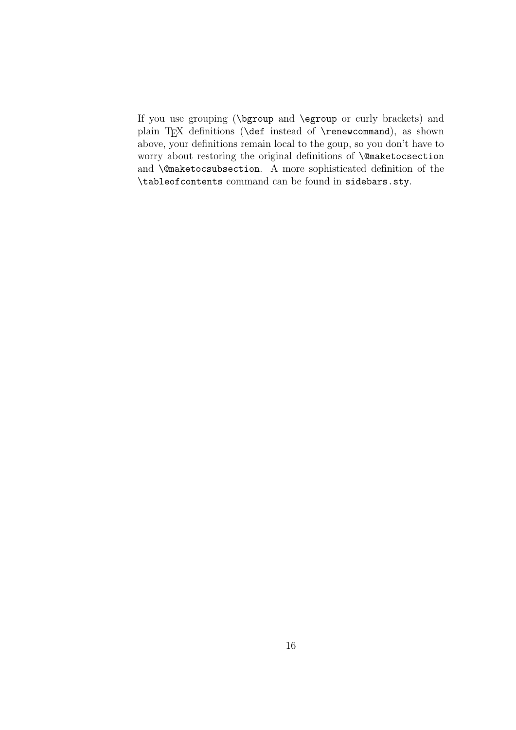If you use grouping (\bgroup and \egroup or curly brackets) and plain TEX definitions (\def instead of \renewcommand), as shown above, your definitions remain local to the goup, so you don't have to worry about restoring the original definitions of \@maketocsection and \@maketocsubsection. A more sophisticated definition of the \tableofcontents command can be found in sidebars.sty.